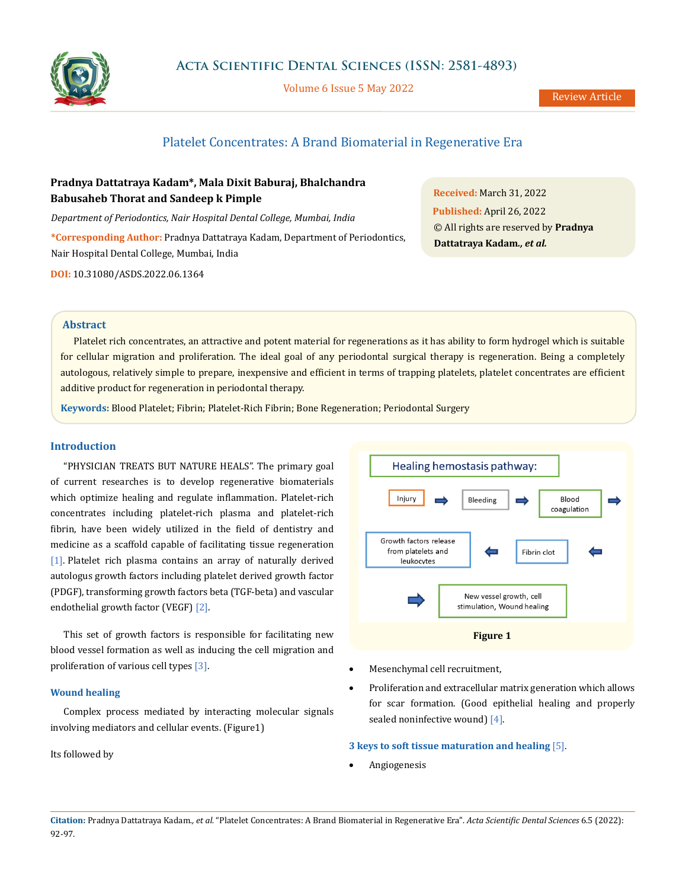

Volume 6 Issue 5 May 2022

# Platelet Concentrates: A Brand Biomaterial in Regenerative Era

## **Pradnya Dattatraya Kadam\*, Mala Dixit Baburaj, Bhalchandra Babusaheb Thorat and Sandeep k Pimple**

*Department of Periodontics, Nair Hospital Dental College, Mumbai, India*

**\*Corresponding Author:** Pradnya Dattatraya Kadam, Department of Periodontics, Nair Hospital Dental College, Mumbai, India

**DOI:** [10.31080/ASDS.2022.06.1364](http:// actascientific.com/ASDS/pdf/ASDS-06-1364.pdf)

**Received:** March 31, 2022 **Published:** April 26, 2022 © All rights are reserved by **Pradnya Dattatraya Kadam***., et al.*

## **Abstract**

Platelet rich concentrates, an attractive and potent material for regenerations as it has ability to form hydrogel which is suitable for cellular migration and proliferation. The ideal goal of any periodontal surgical therapy is regeneration. Being a completely autologous, relatively simple to prepare, inexpensive and efficient in terms of trapping platelets, platelet concentrates are efficient additive product for regeneration in periodontal therapy.

**Keywords:** Blood Platelet; Fibrin; Platelet-Rich Fibrin; Bone Regeneration; Periodontal Surgery

## **Introduction**

"PHYSICIAN TREATS BUT NATURE HEALS". The primary goal of current researches is to develop regenerative biomaterials which optimize healing and regulate inflammation. Platelet-rich concentrates including platelet-rich plasma and platelet-rich fibrin, have been widely utilized in the field of dentistry and medicine as a scaffold capable of facilitating tissue regeneration [1]. Platelet rich plasma contains an array of naturally derived autologus growth factors including platelet derived growth factor (PDGF), transforming growth factors beta (TGF-beta) and vascular endothelial growth factor (VEGF) [2].

This set of growth factors is responsible for facilitating new blood vessel formation as well as inducing the cell migration and proliferation of various cell types [3].

#### **Wound healing**

Complex process mediated by interacting molecular signals involving mediators and cellular events. (Figure1)

Its followed by



- Mesenchymal cell recruitment,
- Proliferation and extracellular matrix generation which allows for scar formation. (Good epithelial healing and properly sealed noninfective wound) [4].

## **3 keys to soft tissue maturation and healing** [5].

**Angiogenesis**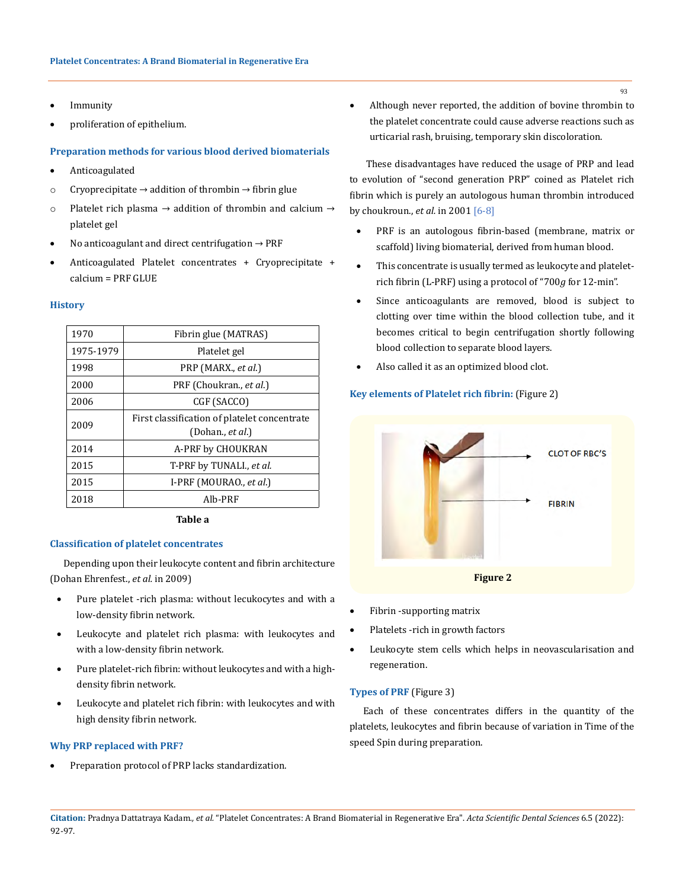- **Immunity**
- • proliferation of epithelium.

## **Preparation methods for various blood derived biomaterials**

- Anticoagulated
- o Cryoprecipitate  $\rightarrow$  addition of thrombin  $\rightarrow$  fibrin glue
- o Platelet rich plasma  $\rightarrow$  addition of thrombin and calcium  $\rightarrow$ platelet gel
- No anticoagulant and direct centrifugation  $\rightarrow$  PRF
- Anticoagulated Platelet concentrates + Cryoprecipitate + calcium = PRF GLUE

#### **History**

| 1970      | Fibrin glue (MATRAS)                                                |  |
|-----------|---------------------------------------------------------------------|--|
| 1975-1979 | Platelet gel                                                        |  |
| 1998      | PRP (MARX., et al.)                                                 |  |
| 2000      | PRF (Choukran., et al.)                                             |  |
| 2006      | CGF (SACCO)                                                         |  |
| 2009      | First classification of platelet concentrate<br>(Dohan., $et al.$ ) |  |
| 2014      | A-PRF by CHOUKRAN                                                   |  |
| 2015      | T-PRF by TUNALI., et al.                                            |  |
| 2015      | I-PRF (MOURAO., et al.)                                             |  |
| 2018      | Alb-PRF                                                             |  |

**Table a**

#### **Classification of platelet concentrates**

Depending upon their leukocyte content and fibrin architecture (Dohan Ehrenfest., *et al.* in 2009)

- Pure platelet -rich plasma: without lecukocytes and with a low-density fibrin network.
- Leukocyte and platelet rich plasma: with leukocytes and with a low-density fibrin network.
- Pure platelet-rich fibrin: without leukocytes and with a highdensity fibrin network.
- Leukocyte and platelet rich fibrin: with leukocytes and with high density fibrin network.

#### **Why PRP replaced with PRF?**

Preparation protocol of PRP lacks standardization.

Although never reported, the addition of bovine thrombin to the platelet concentrate could cause adverse reactions such as urticarial rash, bruising, temporary skin discoloration.

 These disadvantages have reduced the usage of PRP and lead to evolution of "second generation PRP" coined as Platelet rich fibrin which is purely an autologous human thrombin introduced by choukroun., *et al.* in 2001 [6-8]

- PRF is an autologous fibrin-based (membrane, matrix or scaffold) living biomaterial, derived from human blood.
- This concentrate is usually termed as leukocyte and plateletrich fibrin (L-PRF) using a protocol of "700*g* for 12-min".
- Since anticoagulants are removed, blood is subject to clotting over time within the blood collection tube, and it becomes critical to begin centrifugation shortly following blood collection to separate blood layers.
- Also called it as an optimized blood clot.

## **Key elements of Platelet rich fibrin:** (Figure 2)



- Fibrin -supporting matrix
- Platelets -rich in growth factors
- Leukocyte stem cells which helps in neovascularisation and regeneration.

## **Types of PRF** (Figure 3)

Each of these concentrates differs in the quantity of the platelets, leukocytes and fibrin because of variation in Time of the speed Spin during preparation.

**Citation:** Pradnya Dattatraya Kadam*., et al.* "Platelet Concentrates: A Brand Biomaterial in Regenerative Era". *Acta Scientific Dental Sciences* 6.5 (2022): 92-97.

**93**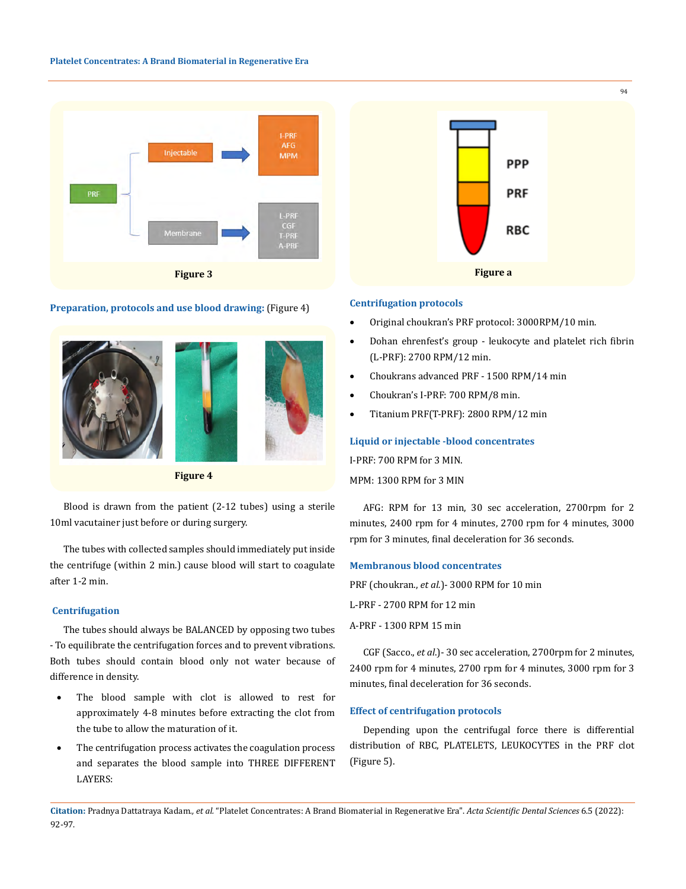

#### **Preparation, protocols and use blood drawing:** (Figure 4)



**Figure 4**

Blood is drawn from the patient (2-12 tubes) using a sterile 10ml vacutainer just before or during surgery.

The tubes with collected samples should immediately put inside the centrifuge (within 2 min.) cause blood will start to coagulate after 1-2 min.

#### **Centrifugation**

The tubes should always be BALANCED by opposing two tubes - To equilibrate the centrifugation forces and to prevent vibrations. Both tubes should contain blood only not water because of difference in density.

- • The blood sample with clot is allowed to rest for approximately 4-8 minutes before extracting the clot from the tube to allow the maturation of it.
- The centrifugation process activates the coagulation process and separates the blood sample into THREE DIFFERENT LAYERS:



#### **Centrifugation protocols**

- Original choukran's PRF protocol: 3000RPM/10 min.
- Dohan ehrenfest's group leukocyte and platelet rich fibrin (L-PRF): 2700 RPM/12 min.
- Choukrans advanced PRF 1500 RPM/14 min
- Choukran's I-PRF: 700 RPM/8 min.
- Titanium PRF(T-PRF): 2800 RPM/12 min

#### **Liquid or injectable -blood concentrates**

I-PRF: 700 RPM for 3 MIN.

```
MPM: 1300 RPM for 3 MIN
```
AFG: RPM for 13 min, 30 sec acceleration, 2700rpm for 2 minutes, 2400 rpm for 4 minutes, 2700 rpm for 4 minutes, 3000 rpm for 3 minutes, final deceleration for 36 seconds.

#### **Membranous blood concentrates**

PRF (choukran., *et al.*)- 3000 RPM for 10 min

L-PRF - 2700 RPM for 12 min

A-PRF - 1300 RPM 15 min

CGF (Sacco., *et al*.)- 30 sec acceleration, 2700rpm for 2 minutes, 2400 rpm for 4 minutes, 2700 rpm for 4 minutes, 3000 rpm for 3 minutes, final deceleration for 36 seconds.

#### **Effect of centrifugation protocols**

Depending upon the centrifugal force there is differential distribution of RBC, PLATELETS, LEUKOCYTES in the PRF clot (Figure 5).

**Citation:** Pradnya Dattatraya Kadam*., et al.* "Platelet Concentrates: A Brand Biomaterial in Regenerative Era". *Acta Scientific Dental Sciences* 6.5 (2022): 92-97.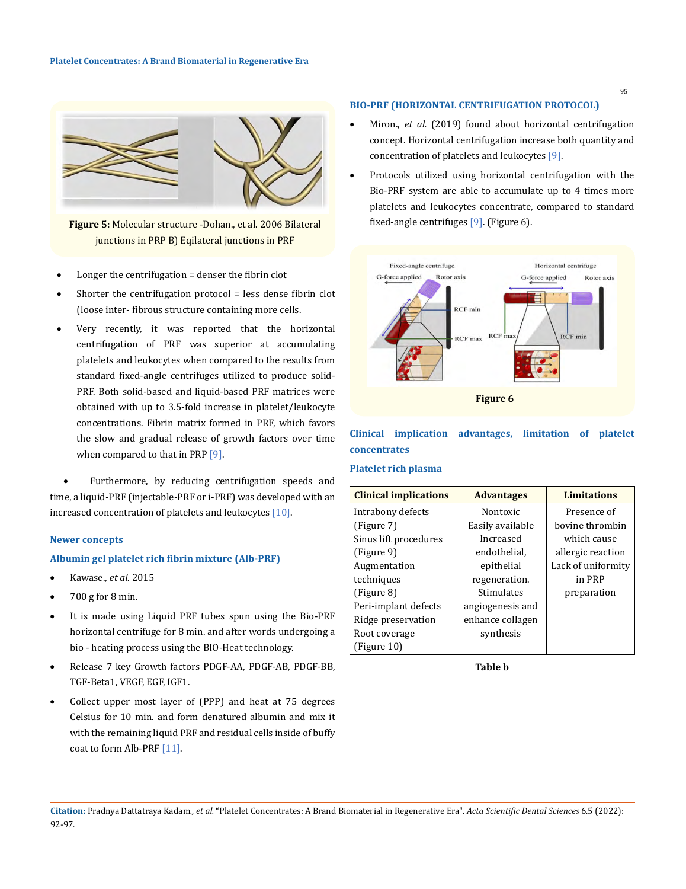

**Figure 5:** Molecular structure -Dohan., et al. 2006 Bilateral junctions in PRP B) Eqilateral junctions in PRF

- Longer the centrifugation  $=$  denser the fibrin clot
- Shorter the centrifugation protocol  $=$  less dense fibrin clot (loose inter- fibrous structure containing more cells.
- Very recently, it was reported that the horizontal centrifugation of PRF was superior at accumulating platelets and leukocytes when compared to the results from standard fixed-angle centrifuges utilized to produce solid-PRF. Both solid-based and liquid-based PRF matrices were obtained with up to 3.5-fold increase in platelet/leukocyte concentrations. Fibrin matrix formed in PRF, which favors the slow and gradual release of growth factors over time when compared to that in PRP [9].

Furthermore, by reducing centrifugation speeds and time, a liquid-PRF (injectable-PRF or i-PRF) was developed with an increased concentration of platelets and leukocytes [10].

#### **Newer concepts**

#### **Albumin gel platelet rich fibrin mixture (Alb-PRF)**

- Kawase., *et al.* 2015
- $\bullet$  700 g for 8 min.
- It is made using Liquid PRF tubes spun using the Bio-PRF horizontal centrifuge for 8 min. and after words undergoing a bio - heating process using the BIO-Heat technology.
- Release 7 key Growth factors PDGF-AA, PDGF-AB, PDGF-BB, TGF-Beta1, VEGF, EGF, IGF1.
- Collect upper most layer of (PPP) and heat at 75 degrees Celsius for 10 min. and form denatured albumin and mix it with the remaining liquid PRF and residual cells inside of buffy coat to form Alb-PRF [11].

## **BIO-PRF (HORIZONTAL CENTRIFUGATION PROTOCOL)**

- Miron., et al. (2019) found about horizontal centrifugation concept. Horizontal centrifugation increase both quantity and concentration of platelets and leukocytes [9].
- Protocols utilized using horizontal centrifugation with the Bio-PRF system are able to accumulate up to 4 times more platelets and leukocytes concentrate, compared to standard fixed-angle centrifuges [9]. (Figure 6).



## **Clinical implication advantages, limitation of platelet concentrates**

#### **Platelet rich plasma**

| <b>Clinical implications</b> | <b>Advantages</b> | <b>Limitations</b> |
|------------------------------|-------------------|--------------------|
| Intrabony defects            | Nontoxic          | Presence of        |
| (Figure 7)                   | Easily available  | bovine thrombin    |
| Sinus lift procedures        | Increased         | which cause        |
| (Figure 9)                   | endothelial,      | allergic reaction  |
| Augmentation                 | epithelial        | Lack of uniformity |
| techniques                   | regeneration.     | in PRP             |
| (Figure 8)                   | Stimulates        | preparation        |
| Peri-implant defects         | angiogenesis and  |                    |
| Ridge preservation           | enhance collagen  |                    |
| Root coverage                | synthesis         |                    |
| (Figure 10)                  |                   |                    |

**Table b**

95

**Citation:** Pradnya Dattatraya Kadam*., et al.* "Platelet Concentrates: A Brand Biomaterial in Regenerative Era". *Acta Scientific Dental Sciences* 6.5 (2022): 92-97.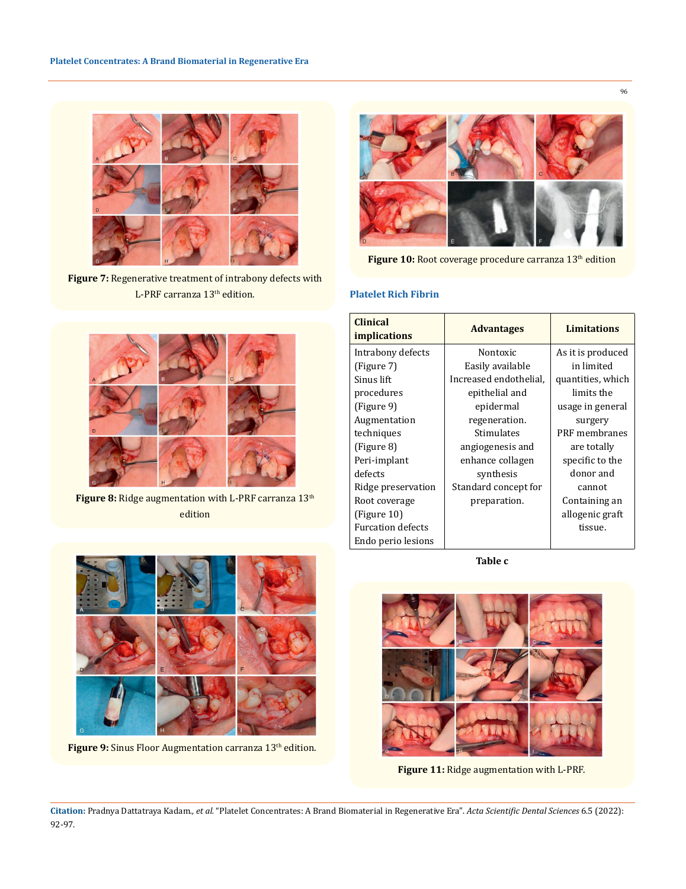

**Figure 7:** Regenerative treatment of intrabony defects with L-PRF carranza 13<sup>th</sup> edition.



Figure 8: Ridge augmentation with L-PRF carranza 13<sup>th</sup> edition

Figure 9: Sinus Floor Augmentation carranza 13<sup>th</sup> edition.



Figure 10: Root coverage procedure carranza 13<sup>th</sup> edition

## **Platelet Rich Fibrin**

| <b>Clinical</b><br><i>implications</i> | <b>Advantages</b>      | <b>Limitations</b> |
|----------------------------------------|------------------------|--------------------|
| Intrabony defects                      | Nontoxic               | As it is produced  |
| (Figure 7)                             | Easily available       | in limited         |
| Sinus lift                             | Increased endothelial. | quantities, which  |
| procedures                             | epithelial and         | limits the         |
| (Figure 9)                             | epidermal              | usage in general   |
| Augmentation                           | regeneration.          | surgery            |
| techniques                             | Stimulates             | PRF membranes      |
| (Figure 8)                             | angiogenesis and       | are totally        |
| Peri-implant                           | enhance collagen       | specific to the    |
| defects                                | synthesis              | donor and          |
| Ridge preservation                     | Standard concept for   | cannot             |
| Root coverage                          | preparation.           | Containing an      |
| (Figure 10)                            |                        | allogenic graft    |
| <b>Furcation defects</b>               |                        | tissue.            |
| Endo perio lesions                     |                        |                    |

**Table c**



**Figure 11:** Ridge augmentation with L-PRF.